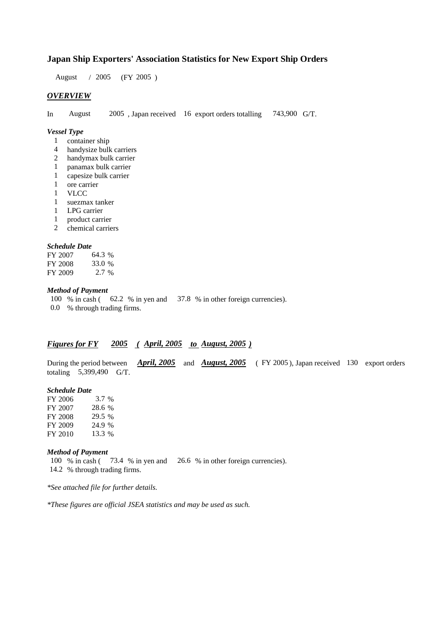### **Japan Ship Exporters' Association Statistics for New Export Ship Orders**

August / 2005 (FY 2005 )

### *OVERVIEW*

In August 2005 , Japan received 16 export orders totalling 743,900 G/T.

#### *Vessel Type*

- 1 container ship
- 4 handysize bulk carriers
- 2 handymax bulk carrier
- 1 panamax bulk carrier
- 1 capesize bulk carrier
- 1 ore carrier
- 1 VLCC
- 1 suezmax tanker
- 1 LPG carrier
- 1 product carrier
- 2 chemical carriers

#### *Schedule Date*

| FY 2007 | 64.3 %  |
|---------|---------|
| FY 2008 | 33.0 %  |
| FY 2009 | $2.7\%$ |

# *Method of Payment*

100 % in cash ( 62.2 % in yen and 37.8 % in other foreign currencies).

0.0 % through trading firms.

# *Figures for FY 2005 ( April, 2005 to August, 2005 )*

During the period between *April, 2005* and *August, 2005* ( FY 2005 ), Japan received 130 export orders totaling 5,399,490 G/T.

#### *Schedule Date*

| FY 2006 | 3.7 %  |
|---------|--------|
| FY 2007 | 28.6 % |
| FY 2008 | 29.5 % |
| FY 2009 | 24.9 % |
| FY 2010 | 13.3 % |

#### *Method of Payment*

100 % in cash ( 73.4 % in yen and 26.6 % in other foreign currencies). 14.2 % through trading firms.

*\*See attached file for further details.*

*\*These figures are official JSEA statistics and may be used as such.*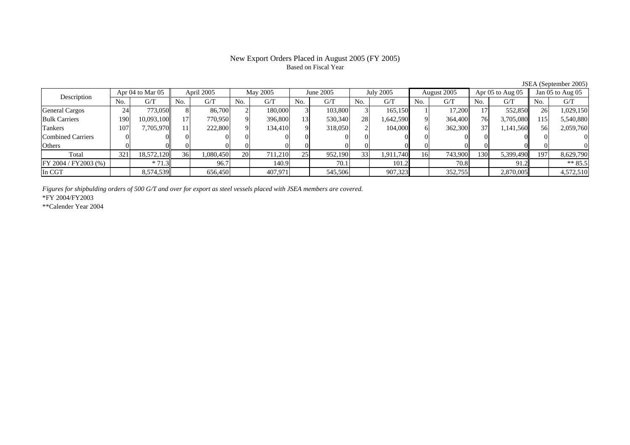# Based on Fiscal Year

Description Apr 04 to Mar 05 April 2005 May 2005 June 2005 July 2005 August 2005 Apr 05 to Aug 05 Jan 05 to Aug 05 No. $No.$   $G/T$ T || No. | G/T || No. | G/T || No. | G/T || No. | G/T || G/T || No. | G/T || No. | G/T || No. | G/T General Cargos ( 24 773,050 8 86,700 2 180,000 3 103,800 3 165,150 1 17,200 17 552,850 26 1,029,150 Bulk Carriers 1900| 10,093,100|| 17| 770,950| 9| 396,800| 13| 530,340| 28| 1,642,590| 9| 364,400| 76| 3,705,080|| 115| 5,540,880 Tankers 1077| 7,705,970|| 11| 222,800| 9| 134,410| 9| 318,050| 2| 104,000| 6| 362,300| 37| 1,141,560|| 56| 2,059,760 Combined Carriers 1 0 0 0 0 0 0 0 0 0 0 0 0 0 0 0 0 **Others** s and  $\vert 0$  0 0 0 0 0 0 0 0 0 0 0 0 0 0 0 Total 321 18,572,120 36 1,080,450 20 711,210 25 952,190 33 1,911,740 16 743,900 130 5,399,490 197 8,629,790 FY 2004 / FY 2003 (%) \* 71.3 70.7 96.7 140.9 70.1 101.2 70.8 90.2 \* 85.5 In CGT8,574,539 | 656,450 | 407,971 | 545,506 | 907,323 | 352,755 | 2,870,005 | 4,572,510

*Figures for shipbulding orders of 500 G/T and over for export as steel vessels placed with JSEA members are covered.*

\*FY 2004/FY2003

\*\*Calender Year 2004

JSEA (September 2005)

# New Export Orders Placed in August 2005 (FY 2005)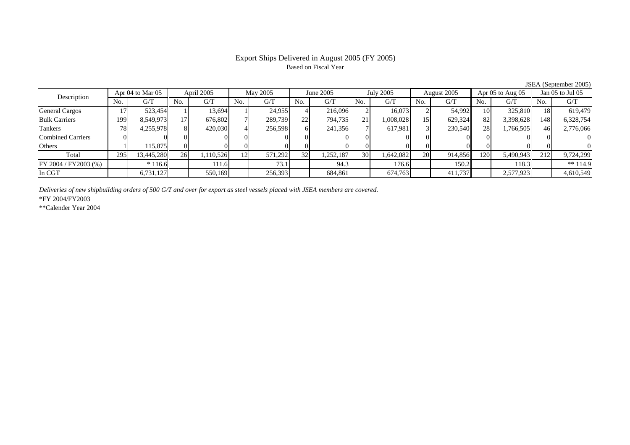# Export Ships Delivered in August 2005 (FY 2005) Based on Fiscal Year

JSEA (September 2005)

| Description              |     | Apr 04 to Mar 05 |                 | April 2005 |     | May 2005 |                 | June 2005 |                 | <b>July 2005</b> |                | August 2005 |                | Apr 05 to Aug 05 |     | Jan 05 to Jul 05 |
|--------------------------|-----|------------------|-----------------|------------|-----|----------|-----------------|-----------|-----------------|------------------|----------------|-------------|----------------|------------------|-----|------------------|
|                          | No. | G/T              | No.             | G/T        | No. | G/T      | No.             | G/T       | No.             | G/T              | N <sub>o</sub> | G/T         | N <sub>0</sub> | G/T              | No. | G/T              |
| <b>General Cargos</b>    |     | 523,454          |                 | 13,694     |     | 24,955   |                 | 216,096   |                 | 16.073           |                | 54,992      | 10             | 325,810          |     | 619.479          |
| <b>Bulk Carriers</b>     | 199 | 8,549,973        | 17 <sup>1</sup> | 676,802    |     | 289,739  | 22              | 794,735   | 21 <sub>1</sub> | 1,008,028        | 15             | 629,324     | 82             | 3,398,628        | 148 | 6,328,754        |
| Tankers                  | 78  | 4,255,978        | 81              | 420,030    |     | 256,598  |                 | 241,356   |                 | 617.981          |                | 230,540     | 28             | 1,766,505        | 46  | 2,776,066        |
| <b>Combined Carriers</b> |     |                  |                 |            |     |          |                 |           |                 |                  |                |             |                |                  |     |                  |
| Others                   |     | 115.875          | 01              |            |     |          |                 |           |                 |                  |                |             |                |                  |     |                  |
| Total                    | 295 | 13,445,280       | 26              | 1,110,526  | 12  | 571.292  | 32 <sup>1</sup> | 1,252,187 | 30 <sup>l</sup> | 1,642,082        | <b>20</b>      | 914,856     | 120            | 5,490,943        | 212 | 9,724,299        |
| FY 2004 / FY 2003 (%)    |     | $*116.6$         |                 | 111.6      |     | 73.1     |                 | 94.3      |                 | 176.6            |                | 150.2       |                | 118.3            |     | ** $114.9$       |
| In CGT                   |     | 6,731,127        |                 | 550,169    |     | 256,393  |                 | 684,861   |                 | 674,763          |                | 411,737     |                | 2,577,923        |     | 4,610,549        |

*Deliveries of new shipbuilding orders of 500 G/T and over for export as steel vessels placed with JSEA members are covered.*

\*FY 2004/FY2003

\*\*Calender Year 2004